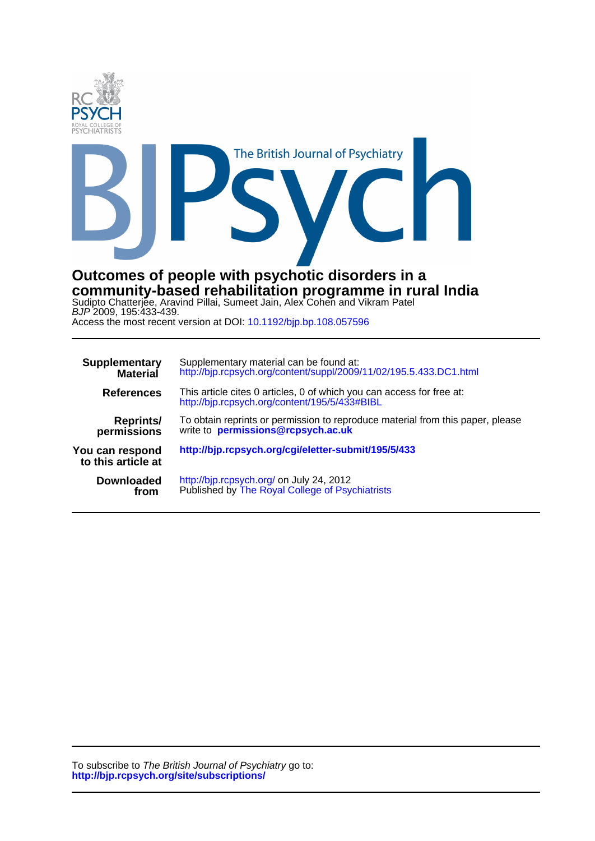

Sudipto Chatterjee, Aravind Pillai, Sumeet Jain, Alex Cohen and Vikram Patel **community-based rehabilitation programme in rural India Outcomes of people with psychotic disorders in a**

Access the most recent version at DOI: 10.1192/bjp.bp.108.057596 BJP 2009, 195:433-439.

| <b>Supplementary</b>                  | Supplementary material can be found at:                                                                                |
|---------------------------------------|------------------------------------------------------------------------------------------------------------------------|
| <b>Material</b>                       | http://bjp.rcpsych.org/content/suppl/2009/11/02/195.5.433.DC1.html                                                     |
| <b>References</b>                     | This article cites 0 articles, 0 of which you can access for free at:<br>http://bjp.rcpsych.org/content/195/5/433#BIBL |
| <b>Reprints/</b>                      | To obtain reprints or permission to reproduce material from this paper, please                                         |
| permissions                           | write to <b>permissions@rcpsych.ac.uk</b>                                                                              |
| You can respond<br>to this article at | http://bjp.rcpsych.org/cgi/eletter-submit/195/5/433                                                                    |
| <b>Downloaded</b>                     | http://bjp.rcpsych.org/ on July 24, 2012                                                                               |
| from                                  | Published by The Royal College of Psychiatrists                                                                        |

**http://bjp.rcpsych.org/site/subscriptions/** To subscribe to The British Journal of Psychiatry go to: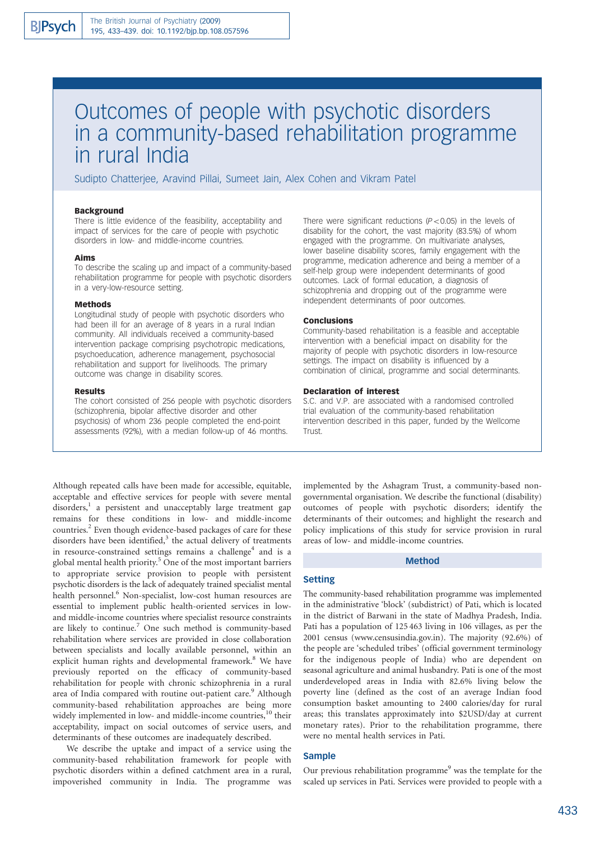# Outcomes of people with psychotic disorders in a community-based rehabilitation programme in rural India

Sudipto Chatterjee, Aravind Pillai, Sumeet Jain, Alex Cohen and Vikram Patel

## Background

There is little evidence of the feasibility, acceptability and impact of services for the care of people with psychotic disorders in low- and middle-income countries.

## Aims

To describe the scaling up and impact of a community-based rehabilitation programme for people with psychotic disorders in a very-low-resource setting.

#### Methods

Longitudinal study of people with psychotic disorders who had been ill for an average of 8 years in a rural Indian community. All individuals received a community-based intervention package comprising psychotropic medications, psychoeducation, adherence management, psychosocial rehabilitation and support for livelihoods. The primary outcome was change in disability scores.

#### Results

The cohort consisted of 256 people with psychotic disorders (schizophrenia, bipolar affective disorder and other psychosis) of whom 236 people completed the end-point assessments (92%), with a median follow-up of 46 months.

There were significant reductions ( $P < 0.05$ ) in the levels of disability for the cohort, the vast majority (83.5%) of whom engaged with the programme. On multivariate analyses, lower baseline disability scores, family engagement with the programme, medication adherence and being a member of a self-help group were independent determinants of good outcomes. Lack of formal education, a diagnosis of schizophrenia and dropping out of the programme were independent determinants of poor outcomes.

#### Conclusions

Community-based rehabilitation is a feasible and acceptable intervention with a beneficial impact on disability for the majority of people with psychotic disorders in low-resource settings. The impact on disability is influenced by a combination of clinical, programme and social determinants.

## Declaration of interest

S.C. and V.P. are associated with a randomised controlled trial evaluation of the community-based rehabilitation intervention described in this paper, funded by the Wellcome Trust.

Although repeated calls have been made for accessible, equitable, acceptable and effective services for people with severe mental disorders,<sup>1</sup> a persistent and unacceptably large treatment gap remains for these conditions in low- and middle-income countries.<sup>2</sup> Even though evidence-based packages of care for these disorders have been identified, $3$  the actual delivery of treatments in resource-constrained settings remains a challenge<sup>4</sup> and is a global mental health priority.5 One of the most important barriers to appropriate service provision to people with persistent psychotic disorders is the lack of adequately trained specialist mental health personnel.<sup>6</sup> Non-specialist, low-cost human resources are essential to implement public health-oriented services in lowand middle-income countries where specialist resource constraints are likely to continue.<sup>7</sup> One such method is community-based rehabilitation where services are provided in close collaboration between specialists and locally available personnel, within an explicit human rights and developmental framework.<sup>8</sup> We have previously reported on the efficacy of community-based rehabilitation for people with chronic schizophrenia in a rural area of India compared with routine out-patient care.<sup>9</sup> Although community-based rehabilitation approaches are being more widely implemented in low- and middle-income countries,<sup>10</sup> their acceptability, impact on social outcomes of service users, and determinants of these outcomes are inadequately described.

We describe the uptake and impact of a service using the community-based rehabilitation framework for people with psychotic disorders within a defined catchment area in a rural, impoverished community in India. The programme was

implemented by the Ashagram Trust, a community-based nongovernmental organisation. We describe the functional (disability) outcomes of people with psychotic disorders; identify the determinants of their outcomes; and highlight the research and policy implications of this study for service provision in rural areas of low- and middle-income countries.

## Method

#### Setting

The community-based rehabilitation programme was implemented in the administrative 'block' (subdistrict) of Pati, which is located in the district of Barwani in the state of Madhya Pradesh, India. Pati has a population of 125 463 living in 106 villages, as per the 2001 census (www.censusindia.gov.in). The majority (92.6%) of the people are 'scheduled tribes' (official government terminology for the indigenous people of India) who are dependent on seasonal agriculture and animal husbandry. Pati is one of the most underdeveloped areas in India with 82.6% living below the poverty line (defined as the cost of an average Indian food consumption basket amounting to 2400 calories/day for rural areas; this translates approximately into \$2USD/day at current monetary rates). Prior to the rehabilitation programme, there were no mental health services in Pati.

## Sample

Our previous rehabilitation programme<sup>9</sup> was the template for the scaled up services in Pati. Services were provided to people with a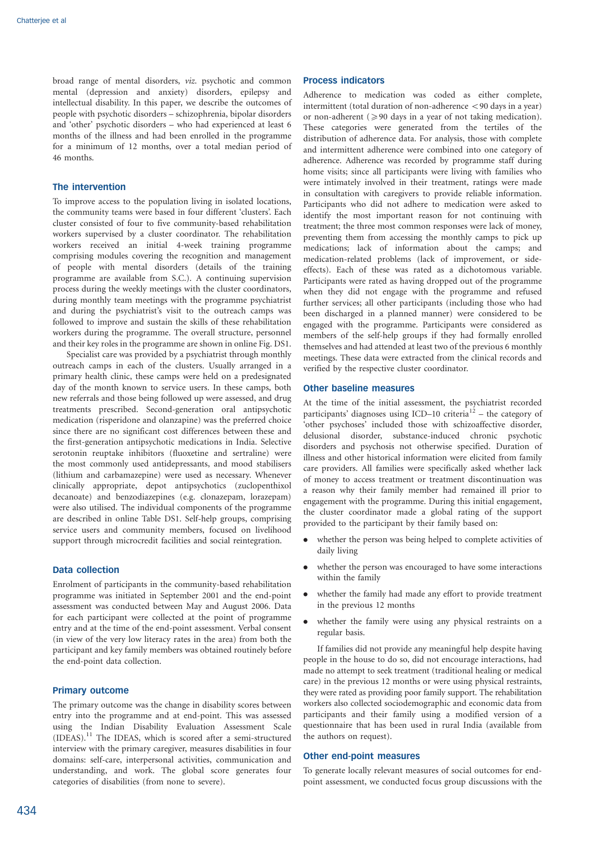broad range of mental disorders, viz. psychotic and common mental (depression and anxiety) disorders, epilepsy and intellectual disability. In this paper, we describe the outcomes of people with psychotic disorders – schizophrenia, bipolar disorders and 'other' psychotic disorders – who had experienced at least 6 months of the illness and had been enrolled in the programme for a minimum of 12 months, over a total median period of 46 months.

# The intervention

To improve access to the population living in isolated locations, the community teams were based in four different 'clusters'. Each cluster consisted of four to five community-based rehabilitation workers supervised by a cluster coordinator. The rehabilitation workers received an initial 4-week training programme comprising modules covering the recognition and management of people with mental disorders (details of the training programme are available from S.C.). A continuing supervision process during the weekly meetings with the cluster coordinators, during monthly team meetings with the programme psychiatrist and during the psychiatrist's visit to the outreach camps was followed to improve and sustain the skills of these rehabilitation workers during the programme. The overall structure, personnel and their key roles in the programme are shown in online Fig. DS1.

Specialist care was provided by a psychiatrist through monthly outreach camps in each of the clusters. Usually arranged in a primary health clinic, these camps were held on a predesignated day of the month known to service users. In these camps, both new referrals and those being followed up were assessed, and drug treatments prescribed. Second-generation oral antipsychotic medication (risperidone and olanzapine) was the preferred choice since there are no significant cost differences between these and the first-generation antipsychotic medications in India. Selective serotonin reuptake inhibitors (fluoxetine and sertraline) were the most commonly used antidepressants, and mood stabilisers (lithium and carbamazepine) were used as necessary. Whenever clinically appropriate, depot antipsychotics (zuclopenthixol decanoate) and benzodiazepines (e.g. clonazepam, lorazepam) were also utilised. The individual components of the programme are described in online Table DS1. Self-help groups, comprising service users and community members, focused on livelihood support through microcredit facilities and social reintegration.

## Data collection

Enrolment of participants in the community-based rehabilitation programme was initiated in September 2001 and the end-point assessment was conducted between May and August 2006. Data for each participant were collected at the point of programme entry and at the time of the end-point assessment. Verbal consent (in view of the very low literacy rates in the area) from both the participant and key family members was obtained routinely before the end-point data collection.

## Primary outcome

The primary outcome was the change in disability scores between entry into the programme and at end-point. This was assessed using the Indian Disability Evaluation Assessment Scale (IDEAS).<sup>11</sup> The IDEAS, which is scored after a semi-structured interview with the primary caregiver, measures disabilities in four domains: self-care, interpersonal activities, communication and understanding, and work. The global score generates four categories of disabilities (from none to severe).

## Process indicators

Adherence to medication was coded as either complete, intermittent (total duration of non-adherence  $<$ 90 days in a year) or non-adherent  $(\geq 90$  days in a year of not taking medication). These categories were generated from the tertiles of the distribution of adherence data. For analysis, those with complete and intermittent adherence were combined into one category of adherence. Adherence was recorded by programme staff during home visits; since all participants were living with families who were intimately involved in their treatment, ratings were made in consultation with caregivers to provide reliable information. Participants who did not adhere to medication were asked to identify the most important reason for not continuing with treatment; the three most common responses were lack of money, preventing them from accessing the monthly camps to pick up medications; lack of information about the camps; and medication-related problems (lack of improvement, or sideeffects). Each of these was rated as a dichotomous variable. Participants were rated as having dropped out of the programme when they did not engage with the programme and refused further services; all other participants (including those who had been discharged in a planned manner) were considered to be engaged with the programme. Participants were considered as members of the self-help groups if they had formally enrolled themselves and had attended at least two of the previous 6 monthly meetings. These data were extracted from the clinical records and verified by the respective cluster coordinator.

# Other baseline measures

At the time of the initial assessment, the psychiatrist recorded participants' diagnoses using ICD–10 criteria<sup>12</sup> – the category of 'other psychoses' included those with schizoaffective disorder, delusional disorder, substance-induced chronic psychotic disorders and psychosis not otherwise specified. Duration of illness and other historical information were elicited from family care providers. All families were specifically asked whether lack of money to access treatment or treatment discontinuation was a reason why their family member had remained ill prior to engagement with the programme. During this initial engagement, the cluster coordinator made a global rating of the support provided to the participant by their family based on:

- . whether the person was being helped to complete activities of daily living
- . whether the person was encouraged to have some interactions within the family
- . whether the family had made any effort to provide treatment in the previous 12 months
- . whether the family were using any physical restraints on a regular basis.

If families did not provide any meaningful help despite having people in the house to do so, did not encourage interactions, had made no attempt to seek treatment (traditional healing or medical care) in the previous 12 months or were using physical restraints, they were rated as providing poor family support. The rehabilitation workers also collected sociodemographic and economic data from participants and their family using a modified version of a questionnaire that has been used in rural India (available from the authors on request).

#### Other end-point measures

To generate locally relevant measures of social outcomes for endpoint assessment, we conducted focus group discussions with the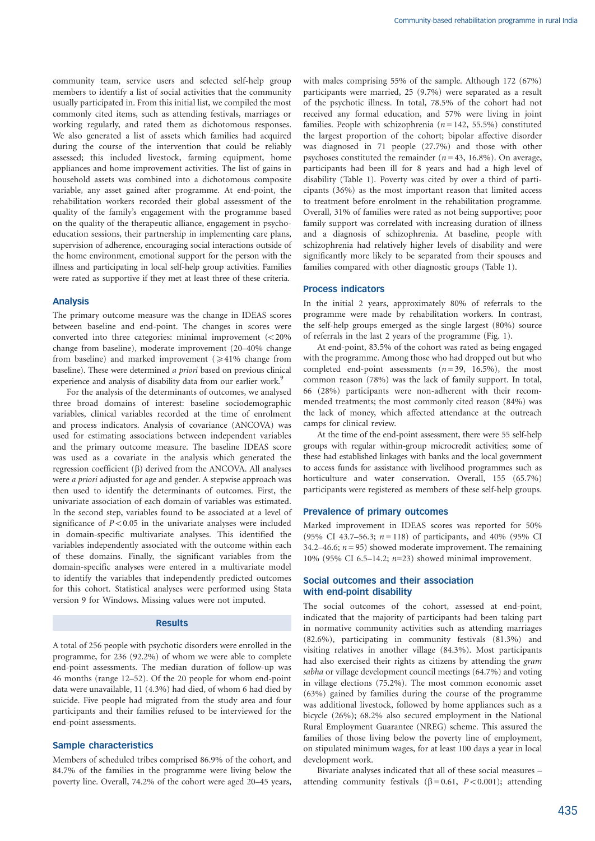community team, service users and selected self-help group members to identify a list of social activities that the community usually participated in. From this initial list, we compiled the most commonly cited items, such as attending festivals, marriages or working regularly, and rated them as dichotomous responses. We also generated a list of assets which families had acquired during the course of the intervention that could be reliably assessed; this included livestock, farming equipment, home appliances and home improvement activities. The list of gains in household assets was combined into a dichotomous composite variable, any asset gained after programme. At end-point, the rehabilitation workers recorded their global assessment of the quality of the family's engagement with the programme based on the quality of the therapeutic alliance, engagement in psychoeducation sessions, their partnership in implementing care plans, supervision of adherence, encouraging social interactions outside of the home environment, emotional support for the person with the illness and participating in local self-help group activities. Families were rated as supportive if they met at least three of these criteria.

## Analysis

The primary outcome measure was the change in IDEAS scores between baseline and end-point. The changes in scores were converted into three categories: minimal improvement  $\ll 20\%$ change from baseline), moderate improvement (20–40% change from baseline) and marked improvement  $(\geq 41\%$  change from baseline). These were determined a priori based on previous clinical experience and analysis of disability data from our earlier work.<sup>9</sup>

For the analysis of the determinants of outcomes, we analysed three broad domains of interest: baseline sociodemographic variables, clinical variables recorded at the time of enrolment and process indicators. Analysis of covariance (ANCOVA) was used for estimating associations between independent variables and the primary outcome measure. The baseline IDEAS score was used as a covariate in the analysis which generated the regression coefficient  $(\beta)$  derived from the ANCOVA. All analyses were a priori adjusted for age and gender. A stepwise approach was then used to identify the determinants of outcomes. First, the univariate association of each domain of variables was estimated. In the second step, variables found to be associated at a level of significance of  $P<0.05$  in the univariate analyses were included in domain-specific multivariate analyses. This identified the variables independently associated with the outcome within each of these domains. Finally, the significant variables from the domain-specific analyses were entered in a multivariate model to identify the variables that independently predicted outcomes for this cohort. Statistical analyses were performed using Stata version 9 for Windows. Missing values were not imputed.

### Results

A total of 256 people with psychotic disorders were enrolled in the programme, for 236 (92.2%) of whom we were able to complete end-point assessments. The median duration of follow-up was 46 months (range 12–52). Of the 20 people for whom end-point data were unavailable, 11 (4.3%) had died, of whom 6 had died by suicide. Five people had migrated from the study area and four participants and their families refused to be interviewed for the end-point assessments.

## Sample characteristics

Members of scheduled tribes comprised 86.9% of the cohort, and 84.7% of the families in the programme were living below the poverty line. Overall, 74.2% of the cohort were aged 20–45 years, with males comprising 55% of the sample. Although 172 (67%) participants were married, 25 (9.7%) were separated as a result of the psychotic illness. In total, 78.5% of the cohort had not received any formal education, and 57% were living in joint families. People with schizophrenia ( $n = 142, 55.5%$ ) constituted the largest proportion of the cohort; bipolar affective disorder was diagnosed in 71 people (27.7%) and those with other psychoses constituted the remainder ( $n = 43$ , 16.8%). On average, participants had been ill for 8 years and had a high level of disability (Table 1). Poverty was cited by over a third of participants (36%) as the most important reason that limited access to treatment before enrolment in the rehabilitation programme. Overall, 31% of families were rated as not being supportive; poor family support was correlated with increasing duration of illness and a diagnosis of schizophrenia. At baseline, people with schizophrenia had relatively higher levels of disability and were significantly more likely to be separated from their spouses and families compared with other diagnostic groups (Table 1).

# Process indicators

In the initial 2 years, approximately 80% of referrals to the programme were made by rehabilitation workers. In contrast, the self-help groups emerged as the single largest (80%) source of referrals in the last 2 years of the programme (Fig. 1).

At end-point, 83.5% of the cohort was rated as being engaged with the programme. Among those who had dropped out but who completed end-point assessments  $(n=39, 16.5\%)$ , the most common reason (78%) was the lack of family support. In total, 66 (28%) participants were non-adherent with their recommended treatments; the most commonly cited reason (84%) was the lack of money, which affected attendance at the outreach camps for clinical review.

At the time of the end-point assessment, there were 55 self-help groups with regular within-group microcredit activities; some of these had established linkages with banks and the local government to access funds for assistance with livelihood programmes such as horticulture and water conservation. Overall, 155 (65.7%) participants were registered as members of these self-help groups.

## Prevalence of primary outcomes

Marked improvement in IDEAS scores was reported for 50% (95% CI 43.7–56.3;  $n = 118$ ) of participants, and 40% (95% CI 34.2–46.6;  $n = 95$ ) showed moderate improvement. The remaining 10% (95% CI 6.5–14.2;  $n=23$ ) showed minimal improvement.

## Social outcomes and their association with end-point disability

The social outcomes of the cohort, assessed at end-point, indicated that the majority of participants had been taking part in normative community activities such as attending marriages (82.6%), participating in community festivals (81.3%) and visiting relatives in another village (84.3%). Most participants had also exercised their rights as citizens by attending the gram sabha or village development council meetings (64.7%) and voting in village elections (75.2%). The most common economic asset (63%) gained by families during the course of the programme was additional livestock, followed by home appliances such as a bicycle (26%); 68.2% also secured employment in the National Rural Employment Guarantee (NREG) scheme. This assured the families of those living below the poverty line of employment, on stipulated minimum wages, for at least 100 days a year in local development work.

Bivariate analyses indicated that all of these social measures – attending community festivals ( $\beta$  = 0.61, P < 0.001); attending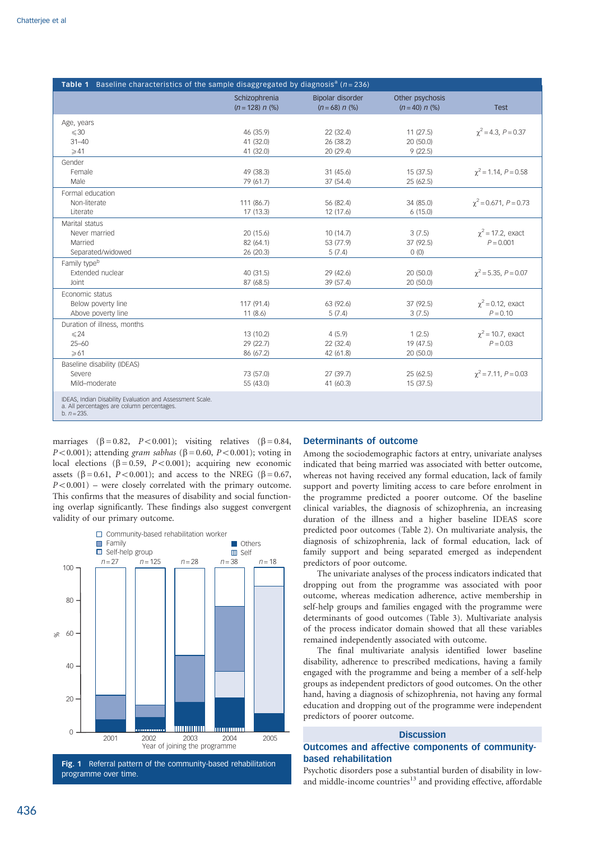| <b>Table 1</b> Baseline characteristics of the sample disaggregated by diagnosis <sup>a</sup> ( $n = 236$ )               |                                    |                                           |                                     |                              |
|---------------------------------------------------------------------------------------------------------------------------|------------------------------------|-------------------------------------------|-------------------------------------|------------------------------|
|                                                                                                                           | Schizophrenia<br>$(n = 128) n$ (%) | <b>Bipolar disorder</b><br>$(n=68) n$ (%) | Other psychosis<br>$(n = 40) n$ (%) | <b>Test</b>                  |
| Age, years                                                                                                                |                                    |                                           |                                     |                              |
| $\leq 30$                                                                                                                 | 46 (35.9)                          | 22 (32.4)                                 | 11(27.5)                            | $\gamma^2$ = 4.3, P = 0.37   |
| $31 - 40$                                                                                                                 | 41 (32.0)                          | 26 (38.2)                                 | 20 (50.0)                           |                              |
| $\geqslant$ 41                                                                                                            | 41 (32.0)                          | 20 (29.4)                                 | 9(22.5)                             |                              |
| Gender                                                                                                                    |                                    |                                           |                                     |                              |
| Female                                                                                                                    | 49 (38.3)                          | 31(45.6)                                  | 15(37.5)                            | $\gamma^2$ = 1.14, P = 0.58  |
| Male                                                                                                                      | 79 (61.7)                          | 37 (54.4)                                 | 25 (62.5)                           |                              |
| Formal education                                                                                                          |                                    |                                           |                                     |                              |
| Non-literate                                                                                                              | 111 (86.7)                         | 56 (82.4)                                 | 34 (85.0)                           | $\gamma^2$ = 0.671, P = 0.73 |
| I iterate                                                                                                                 | 17 (13.3)                          | 12(17.6)                                  | 6(15.0)                             |                              |
| Marital status                                                                                                            |                                    |                                           |                                     |                              |
| Never married                                                                                                             | 20 (15.6)                          | 10(14.7)                                  | 3(7.5)                              | $\gamma^2$ = 17.2, exact     |
| Married                                                                                                                   | 82 (64.1)                          | 53 (77.9)                                 | 37 (92.5)                           | $P = 0.001$                  |
| Separated/widowed                                                                                                         | 26 (20.3)                          | 5(7.4)                                    | 0(0)                                |                              |
| Family type <sup>b</sup>                                                                                                  |                                    |                                           |                                     |                              |
| Extended nuclear                                                                                                          | 40 (31.5)                          | 29 (42.6)                                 | 20 (50.0)                           | $\gamma^2$ = 5.35, P = 0.07  |
| Joint                                                                                                                     | 87 (68.5)                          | 39 (57.4)                                 | 20 (50.0)                           |                              |
| Economic status                                                                                                           |                                    |                                           |                                     |                              |
| Below poverty line                                                                                                        | 117 (91.4)                         | 63 (92.6)                                 | 37 (92.5)                           | $\gamma^2$ = 0.12, exact     |
| Above poverty line                                                                                                        | 11(8.6)                            | 5(7.4)                                    | 3(7.5)                              | $P = 0.10$                   |
| Duration of illness, months                                                                                               |                                    |                                           |                                     |                              |
| $\leq 24$                                                                                                                 | 13 (10.2)                          | 4(5.9)                                    | 1(2.5)                              | $\gamma^2$ = 10.7, exact     |
| $25 - 60$                                                                                                                 | 29 (22.7)                          | 22 (32.4)                                 | 19 (47.5)                           | $P = 0.03$                   |
| $\geq 61$                                                                                                                 | 86 (67.2)                          | 42 (61.8)                                 | 20 (50.0)                           |                              |
| Baseline disability (IDEAS)                                                                                               |                                    |                                           |                                     |                              |
| Severe                                                                                                                    | 73 (57.0)                          | 27 (39.7)                                 | 25 (62.5)                           | $\gamma^2$ = 7.11, P = 0.03  |
| Mild-moderate                                                                                                             | 55 (43.0)                          | 41 (60.3)                                 | 15(37.5)                            |                              |
| IDEAS, Indian Disability Evaluation and Assessment Scale.<br>a. All percentages are column percentages.<br>b. $n = 235$ . |                                    |                                           |                                     |                              |

marriages ( $\beta = 0.82$ ,  $P < 0.001$ ); visiting relatives ( $\beta = 0.84$ ,  $P<0.001$ ); attending gram sabhas ( $\beta$  = 0.60, P < 0.001); voting in local elections ( $\beta = 0.59$ ,  $P < 0.001$ ); acquiring new economic assets ( $\beta$  = 0.61, P < 0.001); and access to the NREG ( $\beta$  = 0.67,  $P<0.001$ ) – were closely correlated with the primary outcome. This confirms that the measures of disability and social functioning overlap significantly. These findings also suggest convergent validity of our primary outcome.



## Determinants of outcome

Among the sociodemographic factors at entry, univariate analyses indicated that being married was associated with better outcome, whereas not having received any formal education, lack of family support and poverty limiting access to care before enrolment in the programme predicted a poorer outcome. Of the baseline clinical variables, the diagnosis of schizophrenia, an increasing duration of the illness and a higher baseline IDEAS score predicted poor outcomes (Table 2). On multivariate analysis, the diagnosis of schizophrenia, lack of formal education, lack of family support and being separated emerged as independent predictors of poor outcome.

The univariate analyses of the process indicators indicated that dropping out from the programme was associated with poor outcome, whereas medication adherence, active membership in self-help groups and families engaged with the programme were determinants of good outcomes (Table 3). Multivariate analysis of the process indicator domain showed that all these variables remained independently associated with outcome.

The final multivariate analysis identified lower baseline disability, adherence to prescribed medications, having a family engaged with the programme and being a member of a self-help groups as independent predictors of good outcomes. On the other hand, having a diagnosis of schizophrenia, not having any formal education and dropping out of the programme were independent predictors of poorer outcome.

## **Discussion**

# Outcomes and affective components of communitybased rehabilitation

Psychotic disorders pose a substantial burden of disability in lowand middle-income countries<sup>13</sup> and providing effective, affordable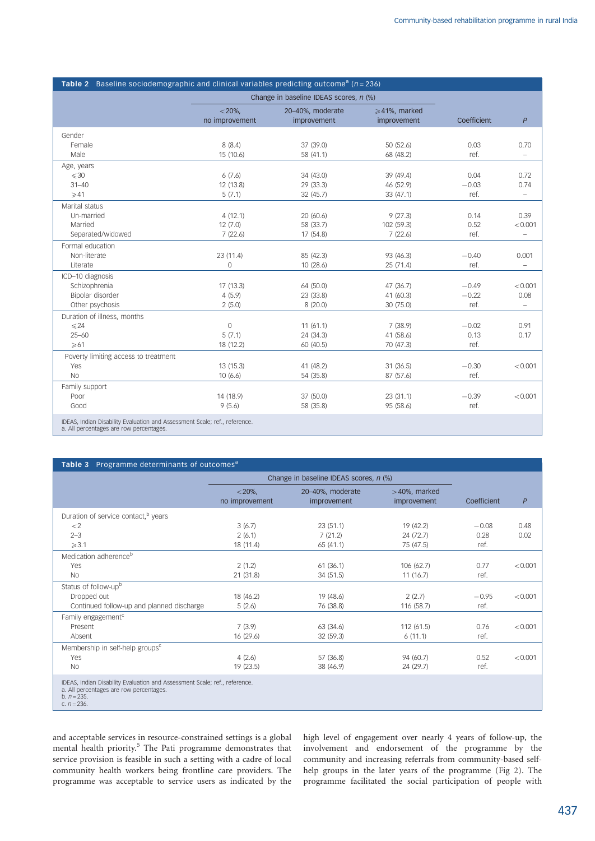| <b>Table 2</b> Baseline sociodemographic and clinical variables predicting outcome <sup>a</sup> ( $n = 236$ )         |                                        |                                 |                                        |             |                          |  |
|-----------------------------------------------------------------------------------------------------------------------|----------------------------------------|---------------------------------|----------------------------------------|-------------|--------------------------|--|
|                                                                                                                       | Change in baseline IDEAS scores, n (%) |                                 |                                        |             |                          |  |
|                                                                                                                       | $<$ 20%,<br>no improvement             | 20-40%, moderate<br>improvement | $\geqslant$ 41%, marked<br>improvement | Coefficient | $\boldsymbol{P}$         |  |
| Gender                                                                                                                |                                        |                                 |                                        |             |                          |  |
| Female                                                                                                                | 8(8.4)                                 | 37 (39.0)                       | 50 (52.6)                              | 0.03        | 0.70                     |  |
| Male                                                                                                                  | 15 (10.6)                              | 58 (41.1)                       | 68 (48.2)                              | ref.        | $\equiv$                 |  |
| Age, years                                                                                                            |                                        |                                 |                                        |             |                          |  |
| $\leq 30$                                                                                                             | 6(7.6)                                 | 34 (43.0)                       | 39 (49.4)                              | 0.04        | 0.72                     |  |
| $31 - 40$                                                                                                             | 12 (13.8)                              | 29 (33.3)                       | 46 (52.9)                              | $-0.03$     | 0.74                     |  |
| $\geqslant$ 41                                                                                                        | 5(7.1)                                 | 32 (45.7)                       | 33 (47.1)                              | ref.        | $\equiv$                 |  |
| Marital status                                                                                                        |                                        |                                 |                                        |             |                          |  |
| Un-married                                                                                                            | 4(12.1)                                | 20 (60.6)                       | 9(27.3)                                | 0.14        | 0.39                     |  |
| Married                                                                                                               | 12(7.0)                                | 58 (33.7)                       | 102 (59.3)                             | 0.52        | < 0.001                  |  |
| Separated/widowed                                                                                                     | 7(22.6)                                | 17 (54.8)                       | 7(22.6)                                | ref.        | $\qquad \qquad -$        |  |
| Formal education                                                                                                      |                                        |                                 |                                        |             |                          |  |
| Non-literate                                                                                                          | 23 (11.4)                              | 85 (42.3)                       | 93 (46.3)                              | $-0.40$     | 0.001                    |  |
| Literate                                                                                                              | $\overline{0}$                         | 10 (28.6)                       | 25 (71.4)                              | ref.        | $\equiv$                 |  |
| ICD-10 diagnosis                                                                                                      |                                        |                                 |                                        |             |                          |  |
| Schizophrenia                                                                                                         | 17 (13.3)                              | 64 (50.0)                       | 47 (36.7)                              | $-0.49$     | < 0.001                  |  |
| Bipolar disorder                                                                                                      | 4(5.9)                                 | 23 (33.8)                       | 41 (60.3)                              | $-0.22$     | 0.08                     |  |
| Other psychosis                                                                                                       | 2(5.0)                                 | 8(20.0)                         | 30 (75.0)                              | ref.        | $\overline{\phantom{0}}$ |  |
| Duration of illness, months                                                                                           |                                        |                                 |                                        |             |                          |  |
| $\leq 24$                                                                                                             | $\Omega$                               | 11(61.1)                        | 7(38.9)                                | $-0.02$     | 0.91                     |  |
| $25 - 60$                                                                                                             | 5(7.1)                                 | 24 (34.3)                       | 41 (58.6)                              | 0.13        | 0.17                     |  |
| $\geqslant 61$                                                                                                        | 18 (12.2)                              | 60 (40.5)                       | 70 (47.3)                              | ref.        |                          |  |
| Poverty limiting access to treatment                                                                                  |                                        |                                 |                                        |             |                          |  |
| Yes                                                                                                                   | 13 (15.3)                              | 41 (48.2)                       | 31 (36.5)                              | $-0.30$     | < 0.001                  |  |
| N <sub>O</sub>                                                                                                        | 10(6.6)                                | 54 (35.8)                       | 87 (57.6)                              | ref.        |                          |  |
| Family support                                                                                                        |                                        |                                 |                                        |             |                          |  |
| Poor                                                                                                                  | 14 (18.9)                              | 37 (50.0)                       | 23 (31.1)                              | $-0.39$     | < 0.001                  |  |
| Good                                                                                                                  | 9(5.6)                                 | 58 (35.8)                       | 95 (58.6)                              | ref.        |                          |  |
| IDEAS, Indian Disability Evaluation and Assessment Scale; ref., reference.<br>a. All percentages are row percentages. |                                        |                                 |                                        |             |                          |  |

Table 3 Programme determinants of outcomes<sup>a</sup> Change in baseline IDEAS scores, n (%)  $<$  20%, no improvement 20–40%, moderate improvement Duration of service contact,<sup>b</sup> years

| Duration of service contact, <sup>b</sup> years                                                                                                           |           |           |            |         |         |
|-----------------------------------------------------------------------------------------------------------------------------------------------------------|-----------|-----------|------------|---------|---------|
| $\lt2$                                                                                                                                                    | 3(6.7)    | 23(51.1)  | 19 (42.2)  | $-0.08$ | 0.48    |
| $2 - 3$                                                                                                                                                   | 2(6.1)    | 7(21.2)   | 24 (72.7)  | 0.28    | 0.02    |
| $\geqslant$ 3.1                                                                                                                                           | 18 (11.4) | 65(41.1)  | 75 (47.5)  | ref.    |         |
| Medication adherence <sup>b</sup>                                                                                                                         |           |           |            |         |         |
| Yes                                                                                                                                                       | 2(1.2)    | 61(36.1)  | 106(62.7)  | 0.77    | < 0.001 |
| <b>No</b>                                                                                                                                                 | 21(31.8)  | 34 (51.5) | 11(16.7)   | ref.    |         |
| Status of follow-upb                                                                                                                                      |           |           |            |         |         |
| Dropped out                                                                                                                                               | 18 (46.2) | 19 (48.6) | 2(2.7)     | $-0.95$ | < 0.001 |
| Continued follow-up and planned discharge                                                                                                                 | 5(2.6)    | 76 (38.8) | 116 (58.7) | ref.    |         |
| Family engagement <sup>c</sup>                                                                                                                            |           |           |            |         |         |
| Present                                                                                                                                                   | 7(3.9)    | 63 (34.6) | 112(61.5)  | 0.76    | < 0.001 |
| Absent                                                                                                                                                    | 16(29.6)  | 32(59.3)  | 6(11.1)    | ref.    |         |
| Membership in self-help groups <sup>c</sup>                                                                                                               |           |           |            |         |         |
| Yes                                                                                                                                                       | 4(2.6)    | 57 (36.8) | 94 (60.7)  | 0.52    | < 0.001 |
| <b>No</b>                                                                                                                                                 | 19(23.5)  | 38 (46.9) | 24 (29.7)  | ref.    |         |
| IDEAS, Indian Disability Evaluation and Assessment Scale; ref., reference.<br>a. All percentages are row percentages.<br>b. $n = 235$ .<br>c. $n = 236$ . |           |           |            |         |         |

and acceptable services in resource-constrained settings is a global mental health priority.<sup>5</sup> The Pati programme demonstrates that service provision is feasible in such a setting with a cadre of local community health workers being frontline care providers. The programme was acceptable to service users as indicated by the high level of engagement over nearly 4 years of follow-up, the involvement and endorsement of the programme by the community and increasing referrals from community-based selfhelp groups in the later years of the programme (Fig 2). The programme facilitated the social participation of people with

 $>40%$ , marked

improvement Coefficient P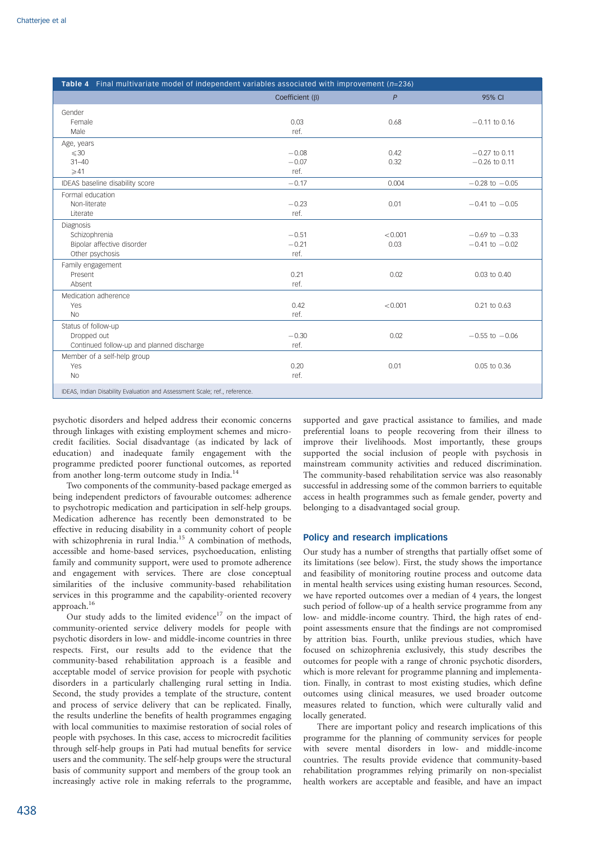| Table 4 Final multivariate model of independent variables associated with improvement $(n=236)$ |                       |         |                    |  |
|-------------------------------------------------------------------------------------------------|-----------------------|---------|--------------------|--|
|                                                                                                 | Coefficient $(\beta)$ | P       | 95% CI             |  |
| Gender                                                                                          |                       |         |                    |  |
| Female                                                                                          | 0.03                  | 0.68    | $-0.11$ to 0.16    |  |
| Male                                                                                            | ref.                  |         |                    |  |
| Age, years                                                                                      |                       |         |                    |  |
| $\leq 30$                                                                                       | $-0.08$               | 0.42    | $-0.27$ to 0.11    |  |
| $31 - 40$                                                                                       | $-0.07$               | 0.32    | $-0.26$ to 0.11    |  |
| $\geqslant$ 41                                                                                  | ref.                  |         |                    |  |
| IDEAS baseline disability score                                                                 | $-0.17$               | 0.004   | $-0.28$ to $-0.05$ |  |
| Formal education                                                                                |                       |         |                    |  |
| Non-literate                                                                                    | $-0.23$               | 0.01    | $-0.41$ to $-0.05$ |  |
| Literate                                                                                        | ref.                  |         |                    |  |
| Diagnosis                                                                                       |                       |         |                    |  |
| Schizophrenia                                                                                   | $-0.51$               | < 0.001 | $-0.69$ to $-0.33$ |  |
| Bipolar affective disorder                                                                      | $-0.21$               | 0.03    | $-0.41$ to $-0.02$ |  |
| Other psychosis                                                                                 | ref.                  |         |                    |  |
| Family engagement                                                                               |                       |         |                    |  |
| Present                                                                                         | 0.21                  | 0.02    | 0.03 to 0.40       |  |
| Absent                                                                                          | ref.                  |         |                    |  |
| Medication adherence                                                                            |                       |         |                    |  |
| Yes                                                                                             | 0.42                  | < 0.001 | 0.21 to 0.63       |  |
| N <sub>o</sub>                                                                                  | ref.                  |         |                    |  |
| Status of follow-up                                                                             |                       |         |                    |  |
| Dropped out                                                                                     | $-0.30$               | 0.02    | $-0.55$ to $-0.06$ |  |
| Continued follow-up and planned discharge                                                       | ref.                  |         |                    |  |
| Member of a self-help group                                                                     |                       |         |                    |  |
| Yes                                                                                             | 0.20                  | 0.01    | 0.05 to 0.36       |  |
| <b>No</b>                                                                                       | ref.                  |         |                    |  |
| IDEAS, Indian Disability Evaluation and Assessment Scale; ref., reference.                      |                       |         |                    |  |

psychotic disorders and helped address their economic concerns through linkages with existing employment schemes and microcredit facilities. Social disadvantage (as indicated by lack of education) and inadequate family engagement with the programme predicted poorer functional outcomes, as reported from another long-term outcome study in India.<sup>14</sup>

Two components of the community-based package emerged as being independent predictors of favourable outcomes: adherence to psychotropic medication and participation in self-help groups. Medication adherence has recently been demonstrated to be effective in reducing disability in a community cohort of people with schizophrenia in rural India.<sup>15</sup> A combination of methods, accessible and home-based services, psychoeducation, enlisting family and community support, were used to promote adherence and engagement with services. There are close conceptual similarities of the inclusive community-based rehabilitation services in this programme and the capability-oriented recovery approach.16

Our study adds to the limited evidence<sup>17</sup> on the impact of community-oriented service delivery models for people with psychotic disorders in low- and middle-income countries in three respects. First, our results add to the evidence that the community-based rehabilitation approach is a feasible and acceptable model of service provision for people with psychotic disorders in a particularly challenging rural setting in India. Second, the study provides a template of the structure, content and process of service delivery that can be replicated. Finally, the results underline the benefits of health programmes engaging with local communities to maximise restoration of social roles of people with psychoses. In this case, access to microcredit facilities through self-help groups in Pati had mutual benefits for service users and the community. The self-help groups were the structural basis of community support and members of the group took an increasingly active role in making referrals to the programme,

supported and gave practical assistance to families, and made preferential loans to people recovering from their illness to improve their livelihoods. Most importantly, these groups supported the social inclusion of people with psychosis in mainstream community activities and reduced discrimination. The community-based rehabilitation service was also reasonably successful in addressing some of the common barriers to equitable access in health programmes such as female gender, poverty and belonging to a disadvantaged social group.

## Policy and research implications

Our study has a number of strengths that partially offset some of its limitations (see below). First, the study shows the importance and feasibility of monitoring routine process and outcome data in mental health services using existing human resources. Second, we have reported outcomes over a median of 4 years, the longest such period of follow-up of a health service programme from any low- and middle-income country. Third, the high rates of endpoint assessments ensure that the findings are not compromised by attrition bias. Fourth, unlike previous studies, which have focused on schizophrenia exclusively, this study describes the outcomes for people with a range of chronic psychotic disorders, which is more relevant for programme planning and implementation. Finally, in contrast to most existing studies, which define outcomes using clinical measures, we used broader outcome measures related to function, which were culturally valid and locally generated.

There are important policy and research implications of this programme for the planning of community services for people with severe mental disorders in low- and middle-income countries. The results provide evidence that community-based rehabilitation programmes relying primarily on non-specialist health workers are acceptable and feasible, and have an impact